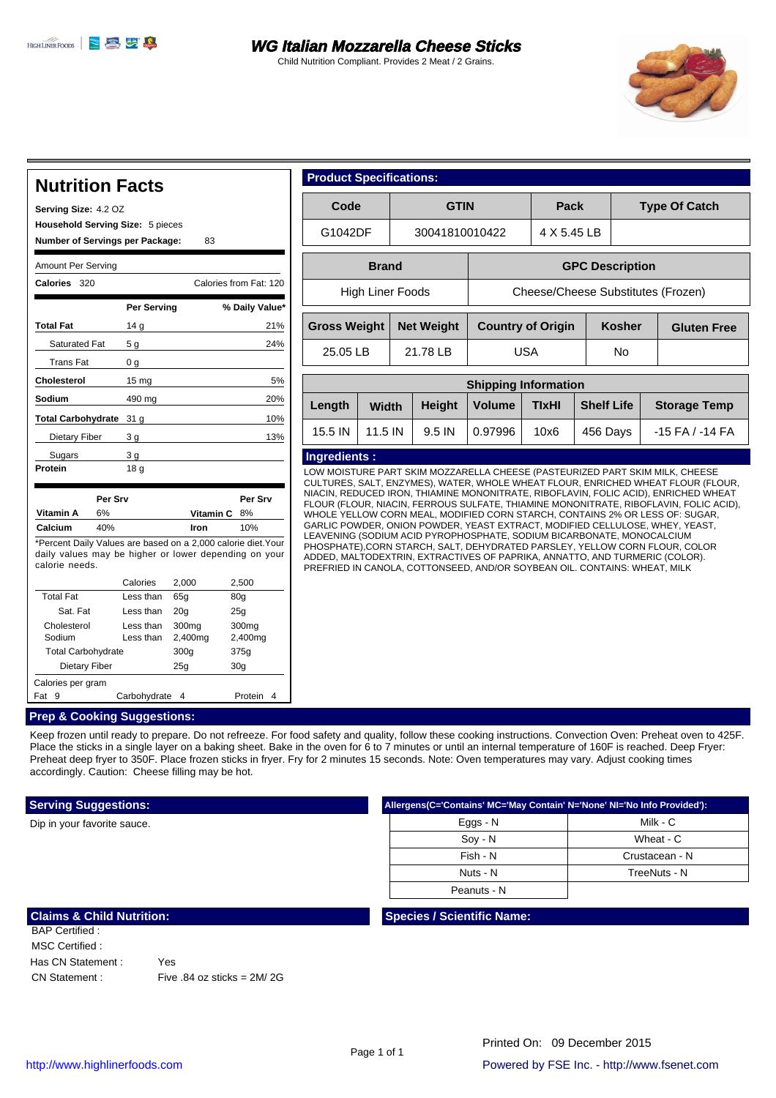Child Nutrition Compliant. Provides 2 Meat / 2 Grains.



#### **Nutrition Facts Serving Size:** 4.2 OZ **Number of Servings per Package:** Amount Per Serving **Calories Total Fat** Saturated Fat Trans Fat **Cholesterol Sodium Total Carbohydrate** 31 g Dietary Fiber Sugars **Protein % Daily Value\* Vitamin A** 6% **Vitamin C** 8% **Calcium Iron** \*Percent Daily Values are based on a 2,000 calorie diet.Your daily values may be higher or lower depending on your calorie needs. Calories 2,000 2,500 Total Fat Sat. Fat Cholesterol Sodium Total Carbohydrate Dietary Fiber Less than Less than Less than Less than Calories per gram Fat 9 Carbohydrate 4 Protein 4 Calories from Eat: 120 21% 5 g 24% 0 g 15 mg 5% 490 mg 20% 14 g 3 a 13% 3 g 18 g 40% **Iron** 10% 65g 80g 20g 300mg 2,400mg 300g 25g 25g 300mg 2,400mg 375g 30g  $\mathbf{a}$ 10% **Per Srv Per Srv Per Serving Household Serving Size:** 5 pieces

## **Product Specifications:**

| Code                        |              |                   | <b>GTIN</b>   |                                    |              | Pack              |               | <b>Type Of Catch</b> |  |
|-----------------------------|--------------|-------------------|---------------|------------------------------------|--------------|-------------------|---------------|----------------------|--|
| G1042DF<br>30041810010422   |              |                   | 4 X 5.45 LB   |                                    |              |                   |               |                      |  |
| <b>Brand</b>                |              |                   |               | <b>GPC Description</b>             |              |                   |               |                      |  |
| High Liner Foods            |              |                   |               | Cheese/Cheese Substitutes (Frozen) |              |                   |               |                      |  |
| <b>Gross Weight</b>         |              | <b>Net Weight</b> |               | <b>Country of Origin</b>           |              |                   | <b>Kosher</b> | <b>Gluten Free</b>   |  |
| 25.05 LB                    |              | 21.78 LB          |               | <b>USA</b>                         |              | No.               |               |                      |  |
| <b>Shipping Information</b> |              |                   |               |                                    |              |                   |               |                      |  |
| Length                      | <b>Width</b> |                   | <b>Height</b> | <b>Volume</b>                      | <b>TIxHI</b> | <b>Shelf Life</b> |               | <b>Storage Temp</b>  |  |
| 15.5 IN                     | 11.5 IN      |                   | 9.5 IN        | 0.97996                            | 10x6         | 456 Davs          |               | -15 FA / -14 FA      |  |

### **Ingredients :**

LOW MOISTURE PART SKIM MOZZARELLA CHEESE (PASTEURIZED PART SKIM MILK, CHEESE CULTURES, SALT, ENZYMES), WATER, WHOLE WHEAT FLOUR, ENRICHED WHEAT FLOUR (FLOUR, NIACIN, REDUCED IRON, THIAMINE MONONITRATE, RIBOFLAVIN, FOLIC ACID), ENRICHED WHEAT FLOUR (FLOUR, NIACIN, FERROUS SULFATE, THIAMINE MONONITRATE, RIBOFLAVIN, FOLIC ACID), WHOLE YELLOW CORN MEAL, MODIFIED CORN STARCH, CONTAINS 2% OR LESS OF: SUGAR, GARLIC POWDER, ONION POWDER, YEAST EXTRACT, MODIFIED CELLULOSE, WHEY, YEAST, LEAVENING (SODIUM ACID PYROPHOSPHATE, SODIUM BICARBONATE, MONOCALCIUM PHOSPHATE),CORN STARCH, SALT, DEHYDRATED PARSLEY, YELLOW CORN FLOUR, COLOR ADDED, MALTODEXTRIN, EXTRACTIVES OF PAPRIKA, ANNATTO, AND TURMERIC (COLOR). PREFRIED IN CANOLA, COTTONSEED, AND/OR SOYBEAN OIL. CONTAINS: WHEAT, MILK

### **Prep & Cooking Suggestions:**

Keep frozen until ready to prepare. Do not refreeze. For food safety and quality, follow these cooking instructions. Convection Oven: Preheat oven to 425F. Place the sticks in a single layer on a baking sheet. Bake in the oven for 6 to 7 minutes or until an internal temperature of 160F is reached. Deep Fryer: Preheat deep fryer to 350F. Place frozen sticks in fryer. Fry for 2 minutes 15 seconds. Note: Oven temperatures may vary. Adjust cooking times accordingly. Caution: Cheese filling may be hot.

#### Dip in your favorite sauce.  **Serving Suggestions: Claims & Child Nutrition: Allergens(C='Contains' MC='May Contain' N='None' NI='No Info Provided'):** Crustacean - N Milk - C TreeNuts - N Fish - N Soy - N Nuts - N Wheat - C Eggs - N Peanuts - N  **Species / Scientific Name:**

Yes Has CN Statement : CN Statement : Five .84 oz sticks = 2M/ 2G BAP Certified : MSC Certified :

# http://www.highlinerfoods.com